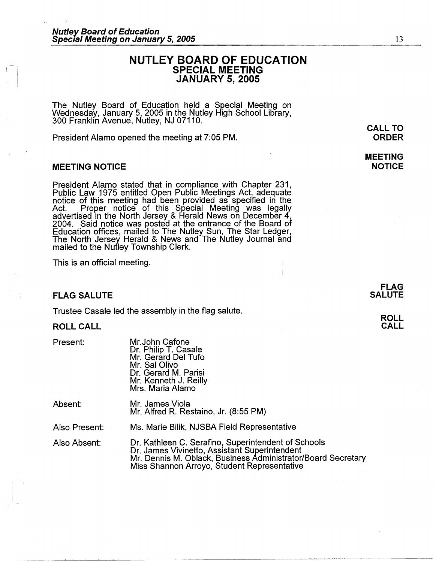# **NUTLEY BOARD OF EDUCATION SPECIAL MEETING JANUARY 5, 2005**

The Nutley Board of Education held a Special Meeting on Wednesday, January 5, 2005 in the Nutley High School Library,<br>300 Franklin Avenue, Nutley, NJ 07110.

President Alamo opened the meeting at 7:05 PM.

### **MEETING NOTICE**

President Alamo stated that in compliance with Chapter 231, Public Law 1975 entitled Open Public Meetings Act, adequate<br>notice of this meeting had been provided as specified in the Act. Proper notice of this Special Meeting was legally advertised in the North Jersey & Herald News on December 4, 2004. Said notice was posted at the entrance of the Board of Education offices, mailed to The Nutley Sun, The Star Ledger, The North Jersey Herald & News and The Nutley Journal and mailed to the Nutley Township Clerk.

This is an official meeting.

#### **FLAG SALUTE**

Trustee Casale led the assembly in the flag salute.

#### **ROLL CALL**

Present:

 $\mathbf{I}$ 

Mr.John Catone Dr. Philip T. Casale Mr. Gerard Del Tufo Mr. Sal Olivo Dr. Gerard M. Parisi Mr. Kenneth J. Reilly Mrs. Maria Alamo

| Absent: | Mr. James Viola                       |
|---------|---------------------------------------|
|         | Mr. Alfred R. Restaino, Jr. (8:55 PM) |

Also Present: Ms. Marie Bilik, NJSBA Field Representative

Also Absent: Dr. Kathleen C. Serafino, Superintendent of Schools Dr. James Vivinetto, Assistant Superintendent Mr. Dennis M. Oblack, Business Administrator/Board Secretary Miss Shannon Arroyo, Student Representative

**ROLL CALL** 

**CALL TO ORDER** 

**MEETING NOTICE**